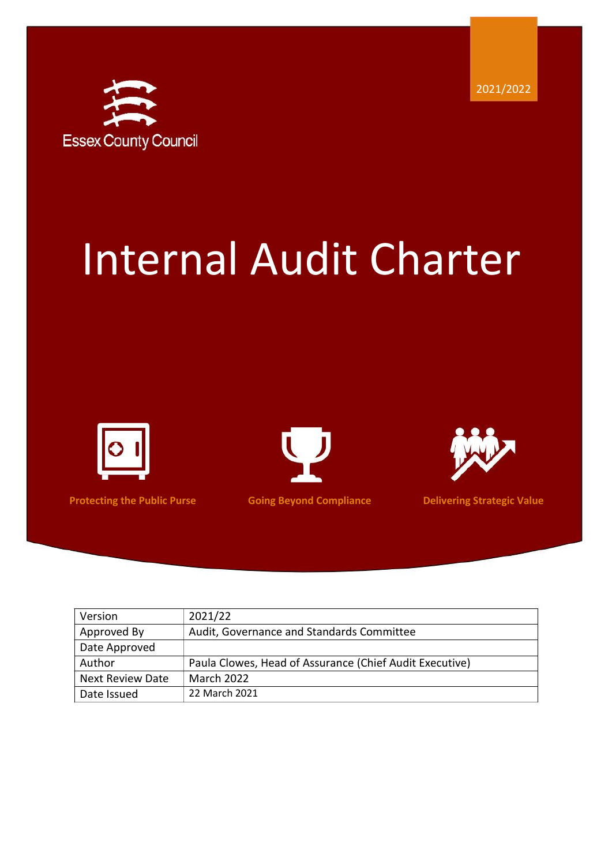

# Internal Audit Charter







**Protecting the Public Purse Coing Beyond Compliance Delivering Strategic Value** 

| Version                 | 2021/22                                                 |
|-------------------------|---------------------------------------------------------|
| Approved By             | Audit, Governance and Standards Committee               |
| Date Approved           |                                                         |
| Author                  | Paula Clowes, Head of Assurance (Chief Audit Executive) |
| <b>Next Review Date</b> | <b>March 2022</b>                                       |
| Date Issued             | 22 March 2021                                           |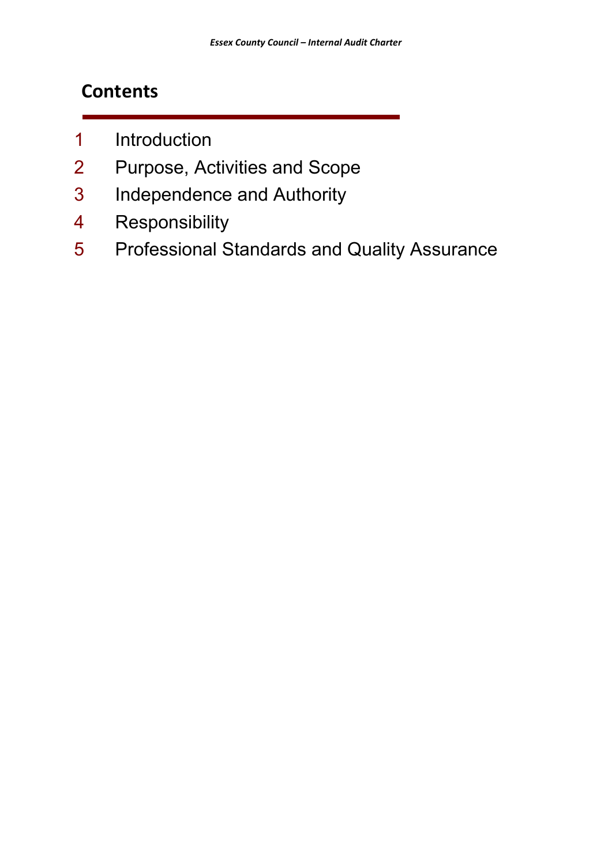## **Contents**

- 1 Introduction
- 2 Purpose, Activities and Scope
- 3 Independence and Authority
- 4 Responsibility
- 5 Professional Standards and Quality Assurance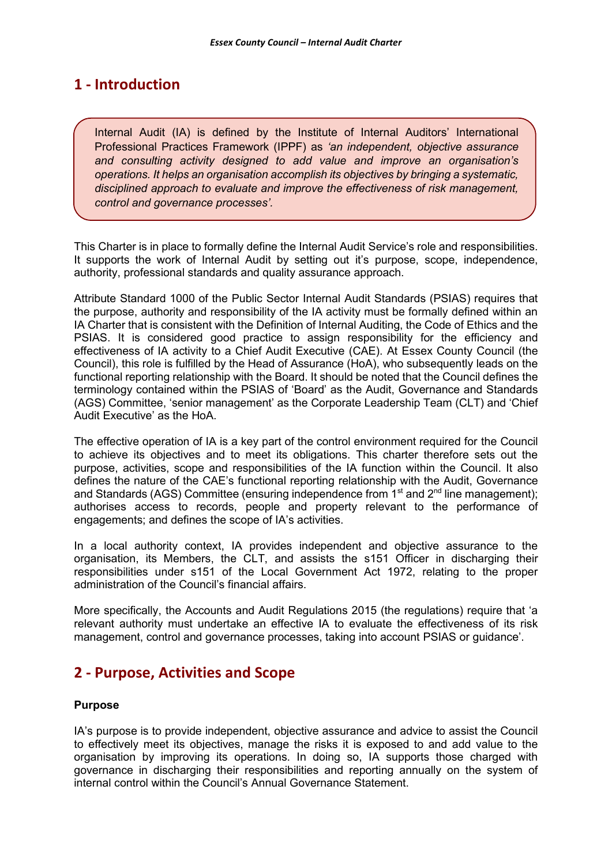## **1 - Introduction**

Internal Audit (IA) is defined by the Institute of Internal Auditors' International Professional Practices Framework (IPPF) as *'an independent, objective assurance and consulting activity designed to add value and improve an organisation's operations. It helps an organisation accomplish its objectives by bringing a systematic, disciplined approach to evaluate and improve the effectiveness of risk management, control and governance processes'.*

This Charter is in place to formally define the Internal Audit Service's role and responsibilities. It supports the work of Internal Audit by setting out it's purpose, scope, independence, authority, professional standards and quality assurance approach.

Attribute Standard 1000 of the Public Sector Internal Audit Standards (PSIAS) requires that the purpose, authority and responsibility of the IA activity must be formally defined within an IA Charter that is consistent with the Definition of Internal Auditing, the Code of Ethics and the PSIAS. It is considered good practice to assign responsibility for the efficiency and effectiveness of IA activity to a Chief Audit Executive (CAE). At Essex County Council (the Council), this role is fulfilled by the Head of Assurance (HoA), who subsequently leads on the functional reporting relationship with the Board. It should be noted that the Council defines the terminology contained within the PSIAS of 'Board' as the Audit, Governance and Standards (AGS) Committee, 'senior management' as the Corporate Leadership Team (CLT) and 'Chief Audit Executive' as the HoA.

The effective operation of IA is a key part of the control environment required for the Council to achieve its objectives and to meet its obligations. This charter therefore sets out the purpose, activities, scope and responsibilities of the IA function within the Council. It also defines the nature of the CAE's functional reporting relationship with the Audit, Governance and Standards (AGS) Committee (ensuring independence from 1<sup>st</sup> and 2<sup>nd</sup> line management); authorises access to records, people and property relevant to the performance of engagements; and defines the scope of IA's activities.

In a local authority context, IA provides independent and objective assurance to the organisation, its Members, the CLT, and assists the s151 Officer in discharging their responsibilities under s151 of the Local Government Act 1972, relating to the proper administration of the Council's financial affairs.

More specifically, the Accounts and Audit Regulations 2015 (the regulations) require that 'a relevant authority must undertake an effective IA to evaluate the effectiveness of its risk management, control and governance processes, taking into account PSIAS or guidance'.

## **2 - Purpose, Activities and Scope**

## **Purpose**

IA's purpose is to provide independent, objective assurance and advice to assist the Council to effectively meet its objectives, manage the risks it is exposed to and add value to the organisation by improving its operations. In doing so, IA supports those charged with governance in discharging their responsibilities and reporting annually on the system of internal control within the Council's Annual Governance Statement.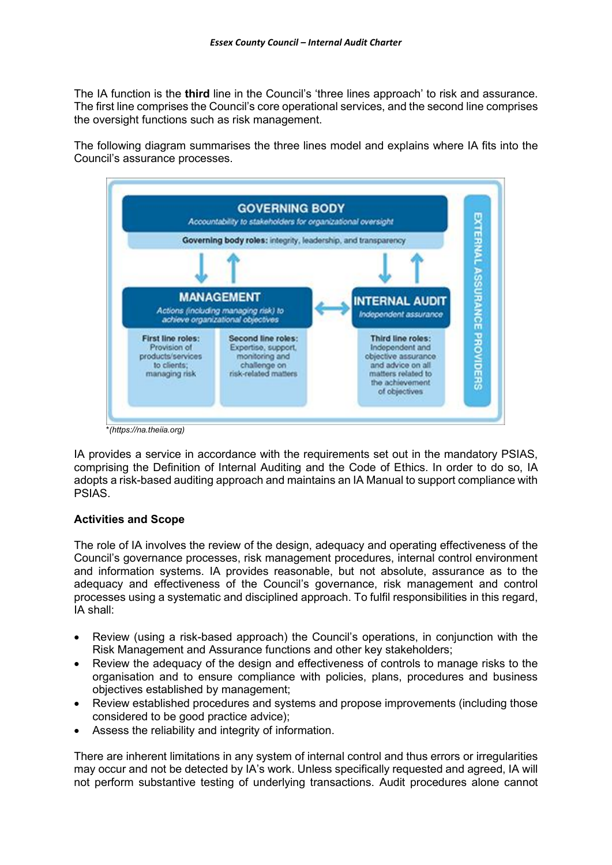The IA function is the **third** line in the Council's 'three lines approach' to risk and assurance. The first line comprises the Council's core operational services, and the second line comprises the oversight functions such as risk management.

The following diagram summarises the three lines model and explains where IA fits into the Council's assurance processes.



IA provides a service in accordance with the requirements set out in the mandatory PSIAS, comprising the Definition of Internal Auditing and the Code of Ethics. In order to do so, IA adopts a risk-based auditing approach and maintains an IA Manual to support compliance with PSIAS.

## **Activities and Scope**

The role of IA involves the review of the design, adequacy and operating effectiveness of the Council's governance processes, risk management procedures, internal control environment and information systems. IA provides reasonable, but not absolute, assurance as to the adequacy and effectiveness of the Council's governance, risk management and control processes using a systematic and disciplined approach. To fulfil responsibilities in this regard, IA shall:

- Review (using a risk-based approach) the Council's operations, in conjunction with the Risk Management and Assurance functions and other key stakeholders;
- Review the adequacy of the design and effectiveness of controls to manage risks to the organisation and to ensure compliance with policies, plans, procedures and business objectives established by management;
- Review established procedures and systems and propose improvements (including those considered to be good practice advice);
- Assess the reliability and integrity of information.

There are inherent limitations in any system of internal control and thus errors or irregularities may occur and not be detected by IA's work. Unless specifically requested and agreed, IA will not perform substantive testing of underlying transactions. Audit procedures alone cannot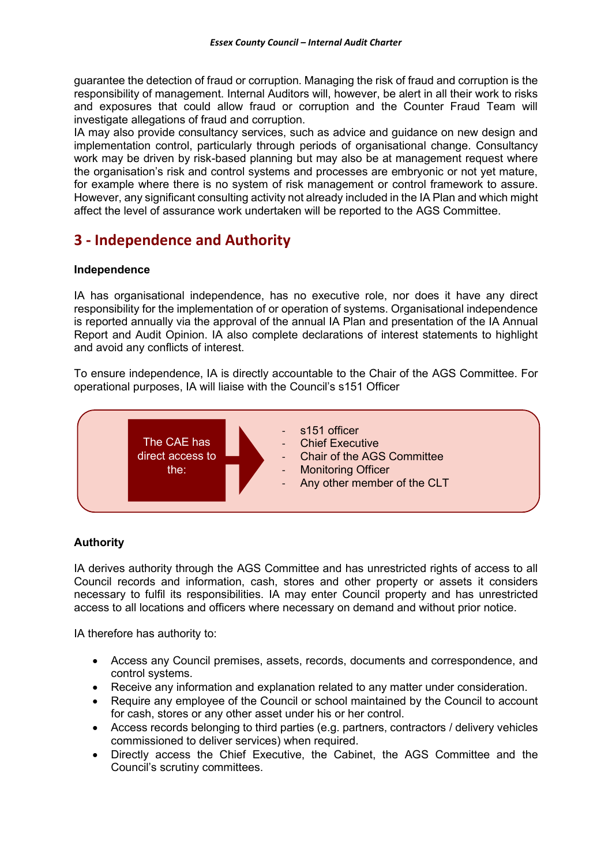guarantee the detection of fraud or corruption. Managing the risk of fraud and corruption is the responsibility of management. Internal Auditors will, however, be alert in all their work to risks and exposures that could allow fraud or corruption and the Counter Fraud Team will investigate allegations of fraud and corruption.

IA may also provide consultancy services, such as advice and guidance on new design and implementation control, particularly through periods of organisational change. Consultancy work may be driven by risk-based planning but may also be at management request where the organisation's risk and control systems and processes are embryonic or not yet mature, for example where there is no system of risk management or control framework to assure. However, any significant consulting activity not already included in the IA Plan and which might affect the level of assurance work undertaken will be reported to the AGS Committee.

## **3 - Independence and Authority**

## **Independence**

IA has organisational independence, has no executive role, nor does it have any direct responsibility for the implementation of or operation of systems. Organisational independence is reported annually via the approval of the annual IA Plan and presentation of the IA Annual Report and Audit Opinion. IA also complete declarations of interest statements to highlight and avoid any conflicts of interest.

To ensure independence, IA is directly accountable to the Chair of the AGS Committee. For operational purposes, IA will liaise with the Council's s151 Officer



## **Authority**

IA derives authority through the AGS Committee and has unrestricted rights of access to all Council records and information, cash, stores and other property or assets it considers necessary to fulfil its responsibilities. IA may enter Council property and has unrestricted access to all locations and officers where necessary on demand and without prior notice.

IA therefore has authority to:

- Access any Council premises, assets, records, documents and correspondence, and control systems.
- Receive any information and explanation related to any matter under consideration.
- Require any employee of the Council or school maintained by the Council to account for cash, stores or any other asset under his or her control.
- Access records belonging to third parties (e.g. partners, contractors / delivery vehicles commissioned to deliver services) when required.
- Directly access the Chief Executive, the Cabinet, the AGS Committee and the Council's scrutiny committees.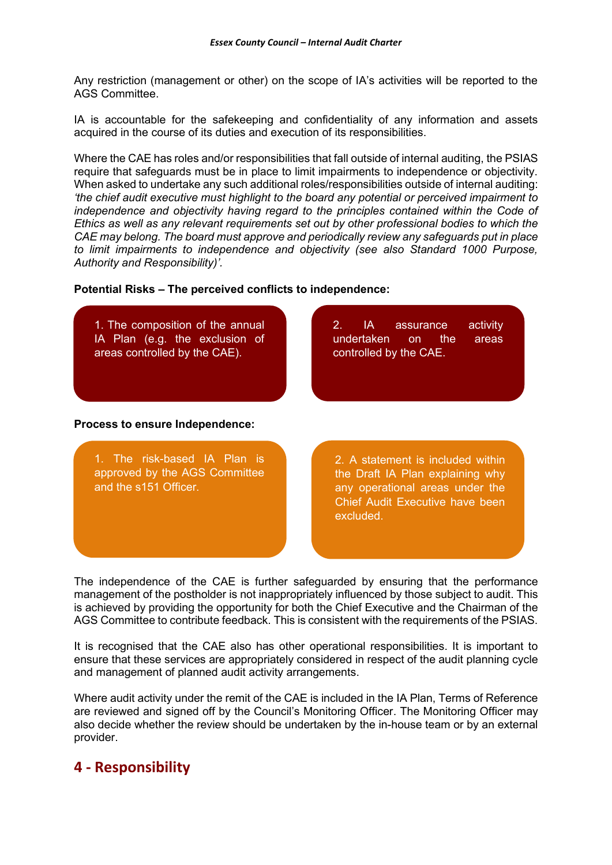Any restriction (management or other) on the scope of IA's activities will be reported to the AGS Committee.

IA is accountable for the safekeeping and confidentiality of any information and assets acquired in the course of its duties and execution of its responsibilities.

Where the CAE has roles and/or responsibilities that fall outside of internal auditing, the PSIAS require that safeguards must be in place to limit impairments to independence or objectivity. When asked to undertake any such additional roles/responsibilities outside of internal auditing: *'the chief audit executive must highlight to the board any potential or perceived impairment to independence and objectivity having regard to the principles contained within the Code of Ethics as well as any relevant requirements set out by other professional bodies to which the CAE may belong. The board must approve and periodically review any safeguards put in place to limit impairments to independence and objectivity (see also Standard 1000 Purpose, Authority and Responsibility)'.*

#### **Potential Risks – The perceived conflicts to independence:**



The independence of the CAE is further safeguarded by ensuring that the performance management of the postholder is not inappropriately influenced by those subject to audit. This is achieved by providing the opportunity for both the Chief Executive and the Chairman of the AGS Committee to contribute feedback. This is consistent with the requirements of the PSIAS.

It is recognised that the CAE also has other operational responsibilities. It is important to ensure that these services are appropriately considered in respect of the audit planning cycle and management of planned audit activity arrangements.

Where audit activity under the remit of the CAE is included in the IA Plan, Terms of Reference are reviewed and signed off by the Council's Monitoring Officer. The Monitoring Officer may also decide whether the review should be undertaken by the in-house team or by an external provider.

## **4 - Responsibility**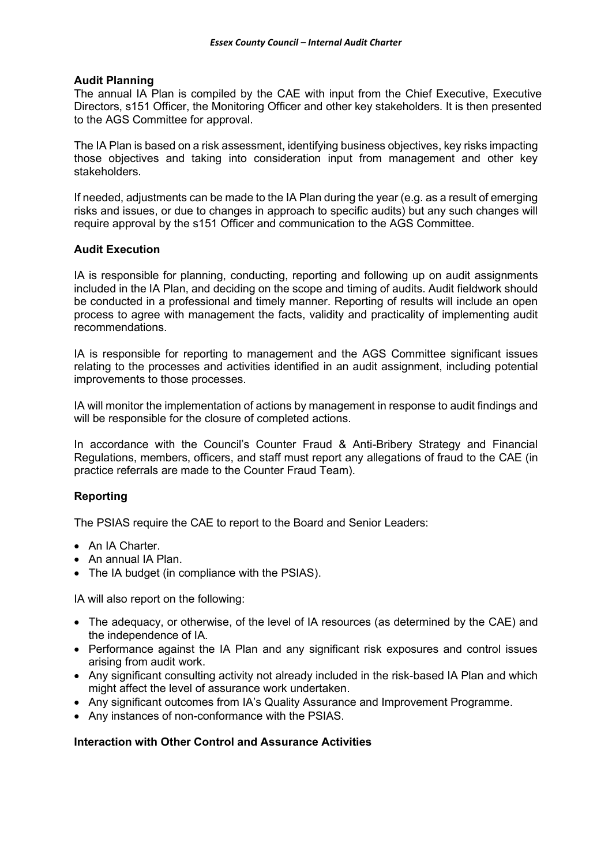#### **Audit Planning**

The annual IA Plan is compiled by the CAE with input from the Chief Executive, Executive Directors, s151 Officer, the Monitoring Officer and other key stakeholders. It is then presented to the AGS Committee for approval.

The IA Plan is based on a risk assessment, identifying business objectives, key risks impacting those objectives and taking into consideration input from management and other key stakeholders.

If needed, adjustments can be made to the IA Plan during the year (e.g. as a result of emerging risks and issues, or due to changes in approach to specific audits) but any such changes will require approval by the s151 Officer and communication to the AGS Committee.

#### **Audit Execution**

IA is responsible for planning, conducting, reporting and following up on audit assignments included in the IA Plan, and deciding on the scope and timing of audits. Audit fieldwork should be conducted in a professional and timely manner. Reporting of results will include an open process to agree with management the facts, validity and practicality of implementing audit recommendations.

IA is responsible for reporting to management and the AGS Committee significant issues relating to the processes and activities identified in an audit assignment, including potential improvements to those processes.

IA will monitor the implementation of actions by management in response to audit findings and will be responsible for the closure of completed actions.

In accordance with the Council's Counter Fraud & Anti-Bribery Strategy and Financial Regulations, members, officers, and staff must report any allegations of fraud to the CAE (in practice referrals are made to the Counter Fraud Team).

## **Reporting**

The PSIAS require the CAE to report to the Board and Senior Leaders:

- An IA Charter.
- An annual IA Plan.
- The IA budget (in compliance with the PSIAS).

IA will also report on the following:

- The adequacy, or otherwise, of the level of IA resources (as determined by the CAE) and the independence of IA.
- Performance against the IA Plan and any significant risk exposures and control issues arising from audit work.
- Any significant consulting activity not already included in the risk-based IA Plan and which might affect the level of assurance work undertaken.
- Any significant outcomes from IA's Quality Assurance and Improvement Programme.
- Any instances of non-conformance with the PSIAS.

## **Interaction with Other Control and Assurance Activities**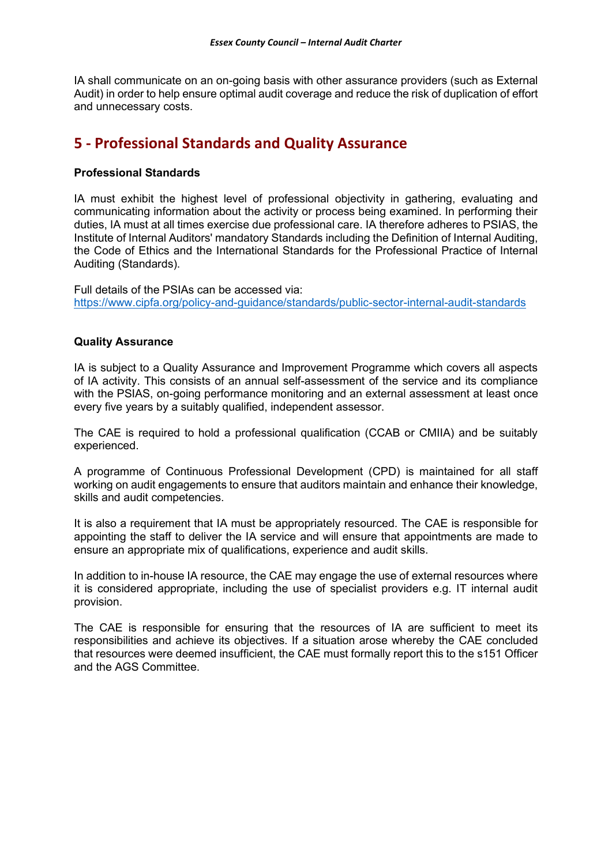IA shall communicate on an on-going basis with other assurance providers (such as External Audit) in order to help ensure optimal audit coverage and reduce the risk of duplication of effort and unnecessary costs.

## **5 - Professional Standards and Quality Assurance**

## **Professional Standards**

IA must exhibit the highest level of professional objectivity in gathering, evaluating and communicating information about the activity or process being examined. In performing their duties, IA must at all times exercise due professional care. IA therefore adheres to PSIAS, the Institute of Internal Auditors' mandatory Standards including the Definition of Internal Auditing, the Code of Ethics and the International Standards for the Professional Practice of Internal Auditing (Standards).

Full details of the PSIAs can be accessed via: <https://www.cipfa.org/policy-and-guidance/standards/public-sector-internal-audit-standards>

## **Quality Assurance**

IA is subject to a Quality Assurance and Improvement Programme which covers all aspects of IA activity. This consists of an annual self-assessment of the service and its compliance with the PSIAS, on-going performance monitoring and an external assessment at least once every five years by a suitably qualified, independent assessor.

The CAE is required to hold a professional qualification (CCAB or CMIIA) and be suitably experienced.

A programme of Continuous Professional Development (CPD) is maintained for all staff working on audit engagements to ensure that auditors maintain and enhance their knowledge, skills and audit competencies.

It is also a requirement that IA must be appropriately resourced. The CAE is responsible for appointing the staff to deliver the IA service and will ensure that appointments are made to ensure an appropriate mix of qualifications, experience and audit skills.

In addition to in-house IA resource, the CAE may engage the use of external resources where it is considered appropriate, including the use of specialist providers e.g. IT internal audit provision.

The CAE is responsible for ensuring that the resources of IA are sufficient to meet its responsibilities and achieve its objectives. If a situation arose whereby the CAE concluded that resources were deemed insufficient, the CAE must formally report this to the s151 Officer and the AGS Committee.